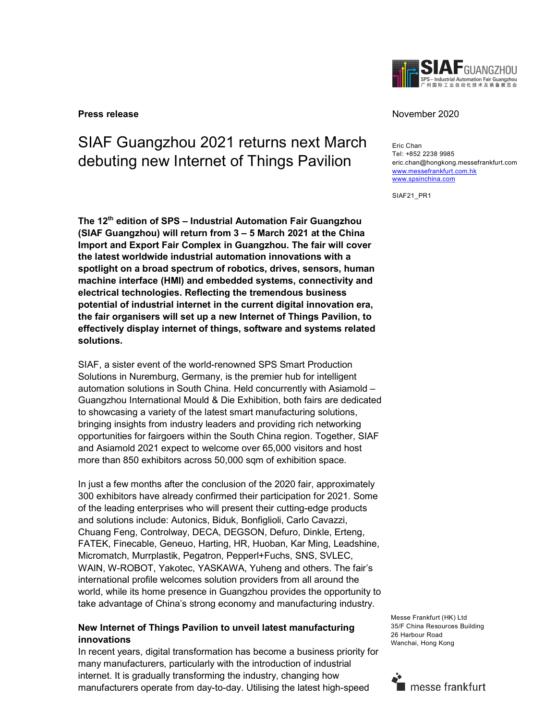

# SIAF Guangzhou 2021 returns next March debuting new Internet of Things Pavilion

The 12<sup>th</sup> edition of SPS – Industrial Automation Fair Guangzhou (SIAF Guangzhou) will return from 3 – 5 March 2021 at the China Import and Export Fair Complex in Guangzhou. The fair will cover the latest worldwide industrial automation innovations with a spotlight on a broad spectrum of robotics, drives, sensors, human machine interface (HMI) and embedded systems, connectivity and electrical technologies. Reflecting the tremendous business potential of industrial internet in the current digital innovation era, the fair organisers will set up a new Internet of Things Pavilion, to effectively display internet of things, software and systems related solutions.

SIAF, a sister event of the world-renowned SPS Smart Production Solutions in Nuremburg, Germany, is the premier hub for intelligent automation solutions in South China. Held concurrently with Asiamold – Guangzhou International Mould & Die Exhibition, both fairs are dedicated to showcasing a variety of the latest smart manufacturing solutions, bringing insights from industry leaders and providing rich networking opportunities for fairgoers within the South China region. Together, SIAF and Asiamold 2021 expect to welcome over 65,000 visitors and host more than 850 exhibitors across 50,000 sqm of exhibition space.

In just a few months after the conclusion of the 2020 fair, approximately 300 exhibitors have already confirmed their participation for 2021. Some of the leading enterprises who will present their cutting-edge products and solutions include: Autonics, Biduk, Bonfiglioli, Carlo Cavazzi, Chuang Feng, Controlway, DECA, DEGSON, Defuro, Dinkle, Erteng, FATEK, Finecable, Geneuo, Harting, HR, Huoban, Kar Ming, Leadshine, Micromatch, Murrplastik, Pegatron, Pepperl+Fuchs, SNS, SVLEC, WAIN, W-ROBOT, Yakotec, YASKAWA, Yuheng and others. The fair's international profile welcomes solution providers from all around the world, while its home presence in Guangzhou provides the opportunity to take advantage of China's strong economy and manufacturing industry.

## New Internet of Things Pavilion to unveil latest manufacturing innovations

In recent years, digital transformation has become a business priority for many manufacturers, particularly with the introduction of industrial internet. It is gradually transforming the industry, changing how manufacturers operate from day-to-day. Utilising the latest high-speed

#### **Press release** November 2020

Eric Chan Tel: +852 2238 9985 eric.chan@hongkong.messefrankfurt.com www.messefrankfurt.com.hk www.spsinchina.com

SIAF21\_PR1

Messe Frankfurt (HK) Ltd 35/F China Resources Building 26 Harbour Road Wanchai, Hong Kong

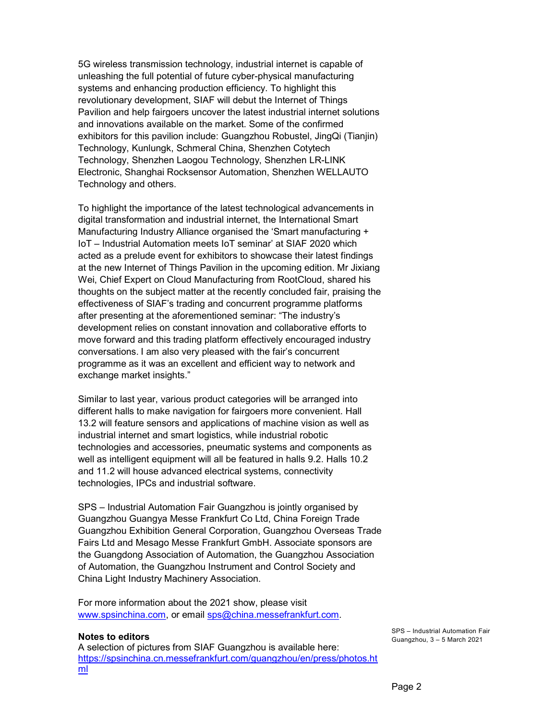5G wireless transmission technology, industrial internet is capable of unleashing the full potential of future cyber-physical manufacturing systems and enhancing production efficiency. To highlight this revolutionary development, SIAF will debut the Internet of Things Pavilion and help fairgoers uncover the latest industrial internet solutions and innovations available on the market. Some of the confirmed exhibitors for this pavilion include: Guangzhou Robustel, JingQi (Tianjin) Technology, Kunlungk, Schmeral China, Shenzhen Cotytech Technology, Shenzhen Laogou Technology, Shenzhen LR-LINK Electronic, Shanghai Rocksensor Automation, Shenzhen WELLAUTO Technology and others.

To highlight the importance of the latest technological advancements in digital transformation and industrial internet, the International Smart Manufacturing Industry Alliance organised the 'Smart manufacturing + IoT – Industrial Automation meets IoT seminar' at SIAF 2020 which acted as a prelude event for exhibitors to showcase their latest findings at the new Internet of Things Pavilion in the upcoming edition. Mr Jixiang Wei, Chief Expert on Cloud Manufacturing from RootCloud, shared his thoughts on the subject matter at the recently concluded fair, praising the effectiveness of SIAF's trading and concurrent programme platforms after presenting at the aforementioned seminar: "The industry's development relies on constant innovation and collaborative efforts to move forward and this trading platform effectively encouraged industry conversations. I am also very pleased with the fair's concurrent programme as it was an excellent and efficient way to network and exchange market insights."

Similar to last year, various product categories will be arranged into different halls to make navigation for fairgoers more convenient. Hall 13.2 will feature sensors and applications of machine vision as well as industrial internet and smart logistics, while industrial robotic technologies and accessories, pneumatic systems and components as well as intelligent equipment will all be featured in halls 9.2. Halls 10.2 and 11.2 will house advanced electrical systems, connectivity technologies, IPCs and industrial software.

SPS – Industrial Automation Fair Guangzhou is jointly organised by Guangzhou Guangya Messe Frankfurt Co Ltd, China Foreign Trade Guangzhou Exhibition General Corporation, Guangzhou Overseas Trade Fairs Ltd and Mesago Messe Frankfurt GmbH. Associate sponsors are the Guangdong Association of Automation, the Guangzhou Association of Automation, the Guangzhou Instrument and Control Society and China Light Industry Machinery Association.

For more information about the 2021 show, please visit www.spsinchina.com, or email sps@china.messefrankfurt.com.

#### Notes to editors

A selection of pictures from SIAF Guangzhou is available here: https://spsinchina.cn.messefrankfurt.com/guangzhou/en/press/photos.ht ml

SPS – Industrial Automation Fair Guangzhou, 3 – 5 March 2021